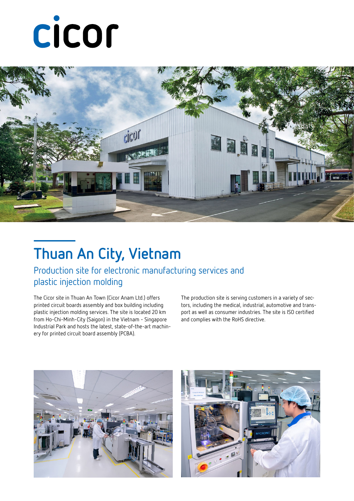# cicor



### **Thuan An City, Vietnam**

#### Production site for electronic manufacturing services and plastic injection molding

The Cicor site in Thuan An Town (Cicor Anam Ltd.) offers printed circuit boards assembly and box building including plastic injection molding services. The site is located 20 km from Ho-Chi-Minh-City (Saigon) in the Vietnam - Singapore Industrial Park and hosts the latest, state-of-the-art machinery for printed circuit board assembly (PCBA).

The production site is serving customers in a variety of sectors, including the medical, industrial, automotive and transport as well as consumer industries. The site is ISO certified and complies with the RoHS directive.